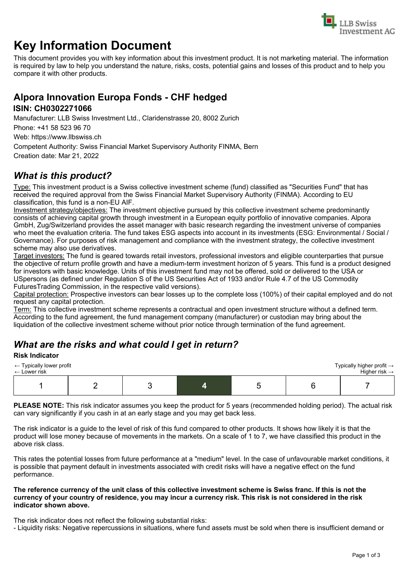

# **Key Information Document**

This document provides you with key information about this investment product. It is not marketing material. The information is required by law to help you understand the nature, risks, costs, potential gains and losses of this product and to help you compare it with other products.

## **Alpora Innovation Europa Fonds - CHF hedged**

#### **ISIN: CH0302271066**

Manufacturer: LLB Swiss Investment Ltd., Claridenstrasse 20, 8002 Zurich

Phone: +41 58 523 96 70

Web: https://www.llbswiss.ch

Competent Authority: Swiss Financial Market Supervisory Authority FINMA, Bern Creation date: Mar 21, 2022

## *What is this product?*

Type: This investment product is a Swiss collective investment scheme (fund) classified as "Securities Fund" that has received the required approval from the Swiss Financial Market Supervisory Authority (FINMA). According to EU classification, this fund is a non-EU AIF.

Investment strategy/objectives: The investment objective pursued by this collective investment scheme predominantly consists of achieving capital growth through investment in a European equity portfolio of innovative companies. Alpora GmbH, Zug/Switzerland provides the asset manager with basic research regarding the investment universe of companies who meet the evaluation criteria. The fund takes ESG aspects into account in its investments (ESG: Environmental / Social / Governance). For purposes of risk management and compliance with the investment strategy, the collective investment scheme may also use derivatives.

Target investors: The fund is geared towards retail investors, professional investors and eligible counterparties that pursue the objective of return profile growth and have a medium-term investment horizon of 5 years. This fund is a product designed for investors with basic knowledge. Units of this investment fund may not be offered, sold or delivered to the USA or USpersons (as defined under Regulation S of the US Securities Act of 1933 and/or Rule 4.7 of the US Commodity FuturesTrading Commission, in the respective valid versions).

Capital protection: Prospective investors can bear losses up to the complete loss (100%) of their capital employed and do not request any capital protection.

Term: This collective investment scheme represents a contractual and open investment structure without a defined term. According to the fund agreement, the fund management company (manufacturer) or custodian may bring about the liquidation of the collective investment scheme without prior notice through termination of the fund agreement.

## *What are the risks and what could I get in return?*

#### **Risk Indicator**

| $\leftarrow$ Typically lower profit<br>$\leftarrow$ Lower risk |  |  | Typically higher profit $\rightarrow$<br>Higher risk $\rightarrow$ |
|----------------------------------------------------------------|--|--|--------------------------------------------------------------------|
|                                                                |  |  |                                                                    |

**PLEASE NOTE:** This risk indicator assumes you keep the product for 5 years (recommended holding period). The actual risk can vary significantly if you cash in at an early stage and you may get back less.

The risk indicator is a guide to the level of risk of this fund compared to other products. It shows how likely it is that the product will lose money because of movements in the markets. On a scale of 1 to 7, we have classified this product in the above risk class.

This rates the potential losses from future performance at a "medium" level. In the case of unfavourable market conditions, it is possible that payment default in investments associated with credit risks will have a negative effect on the fund performance.

#### **The reference currency of the unit class of this collective investment scheme is Swiss franc. If this is not the currency of your country of residence, you may incur a currency risk. This risk is not considered in the risk indicator shown above.**

The risk indicator does not reflect the following substantial risks:

- Liquidity risks: Negative repercussions in situations, where fund assets must be sold when there is insufficient demand or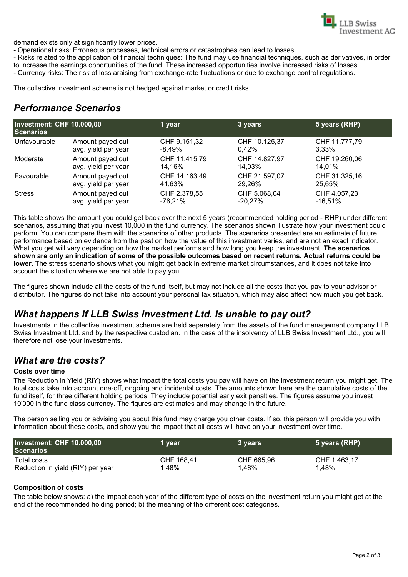

demand exists only at significantly lower prices.

- Operational risks: Erroneous processes, technical errors or catastrophes can lead to losses.

- Risks related to the application of financial techniques: The fund may use financial techniques, such as derivatives, in order to increase the earnings opportunities of the fund. These increased opportunities involve increased risks of losses.

- Currency risks: The risk of loss araising from exchange-rate fluctuations or due to exchange control regulations.

The collective investment scheme is not hedged against market or credit risks.

### *Performance Scenarios*

| Investment: CHF 10.000,00<br><b>Scenarios</b> |                     | 1 year        | 3 years       | 5 years (RHP) |
|-----------------------------------------------|---------------------|---------------|---------------|---------------|
| Unfavourable                                  | Amount payed out    | CHF 9.151,32  | CHF 10.125,37 | CHF 11.777,79 |
|                                               | avg. yield per year | $-8.49\%$     | 0.42%         | $3.33\%$      |
| Moderate                                      | Amount payed out    | CHF 11.415,79 | CHF 14.827,97 | CHF 19.260,06 |
|                                               | avg. yield per year | 14.16%        | 14.03%        | 14.01%        |
| Favourable                                    | Amount payed out    | CHF 14.163,49 | CHF 21.597,07 | CHF 31.325,16 |
|                                               | avg. yield per year | 41,63%        | 29.26%        | 25,65%        |
| <b>Stress</b>                                 | Amount payed out    | CHF 2.378,55  | CHF 5.068,04  | CHF 4.057,23  |
|                                               | avg. yield per year | -76.21%       | $-20.27\%$    | $-16.51\%$    |

This table shows the amount you could get back over the next 5 years (recommended holding period - RHP) under different scenarios, assuming that you invest 10,000 in the fund currency. The scenarios shown illustrate how your investment could perform. You can compare them with the scenarios of other products. The scenarios presented are an estimate of future performance based on evidence from the past on how the value of this investment varies, and are not an exact indicator. What you get will vary depending on how the market performs and how long you keep the investment. **The scenarios shown are only an indication of some of the possible outcomes based on recent returns. Actual returns could be lower.** The stress scenario shows what you might get back in extreme market circumstances, and it does not take into account the situation where we are not able to pay you.

The figures shown include all the costs of the fund itself, but may not include all the costs that you pay to your advisor or distributor. The figures do not take into account your personal tax situation, which may also affect how much you get back.

### *What happens if LLB Swiss Investment Ltd. is unable to pay out?*

Investments in the collective investment scheme are held separately from the assets of the fund management company LLB Swiss Investment Ltd. and by the respective custodian. In the case of the insolvency of LLB Swiss Investment Ltd., you will therefore not lose your investments.

#### *What are the costs?*

#### **Costs over time**

The Reduction in Yield (RIY) shows what impact the total costs you pay will have on the investment return you might get. The total costs take into account one-off, ongoing and incidental costs. The amounts shown here are the cumulative costs of the fund itself, for three different holding periods. They include potential early exit penalties. The figures assume you invest 10'000 in the fund class currency. The figures are estimates and may change in the future.

The person selling you or advising you about this fund may charge you other costs. If so, this person will provide you with information about these costs, and show you the impact that all costs will have on your investment over time.

| Investment: CHF 10.000,00<br><b>Scenarios</b> | 1 vear     | 3 years    | 5 years (RHP) |
|-----------------------------------------------|------------|------------|---------------|
| Total costs                                   | CHF 168.41 | CHF 665.96 | CHF 1.463.17  |
| Reduction in yield (RIY) per year             | 1,48%      | 1,48%      | 1,48%         |

#### **Composition of costs**

The table below shows: a) the impact each year of the different type of costs on the investment return you might get at the end of the recommended holding period; b) the meaning of the different cost categories.